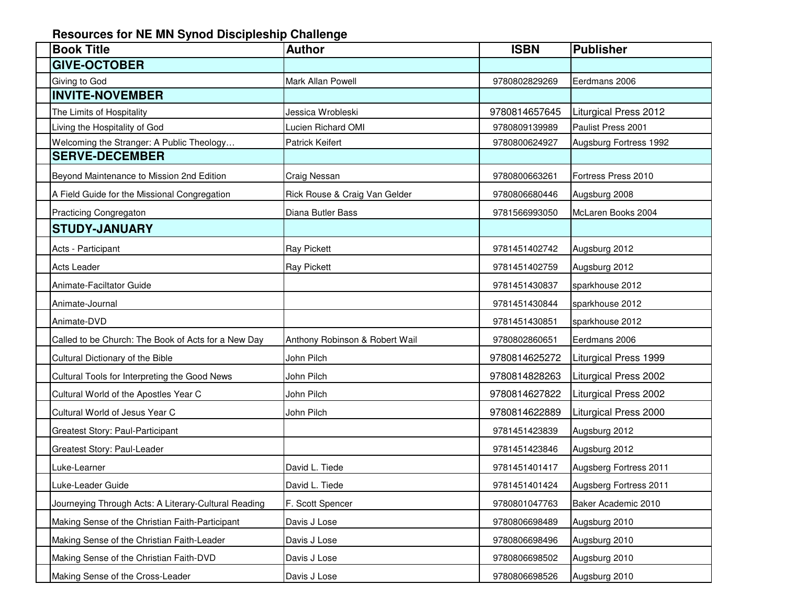## **Resources for NE MN Synod Discipleship Challenge**

| <b>Book Title</b>                                    | <b>Author</b>                  | <b>ISBN</b>   | <b>Publisher</b>             |
|------------------------------------------------------|--------------------------------|---------------|------------------------------|
| <b>GIVE-OCTOBER</b>                                  |                                |               |                              |
| Giving to God                                        | Mark Allan Powell              | 9780802829269 | Eerdmans 2006                |
| <b>INVITE-NOVEMBER</b>                               |                                |               |                              |
| The Limits of Hospitality                            | Jessica Wrobleski              | 9780814657645 | Liturgical Press 2012        |
| Living the Hospitality of God                        | Lucien Richard OMI             | 9780809139989 | Paulist Press 2001           |
| Welcoming the Stranger: A Public Theology            | <b>Patrick Keifert</b>         | 9780800624927 | Augsburg Fortress 1992       |
| <b>SERVE-DECEMBER</b>                                |                                |               |                              |
| Beyond Maintenance to Mission 2nd Edition            | Craig Nessan                   | 9780800663261 | Fortress Press 2010          |
| A Field Guide for the Missional Congregation         | Rick Rouse & Craig Van Gelder  | 9780806680446 | Augsburg 2008                |
| Practicing Congregaton                               | Diana Butler Bass              | 9781566993050 | McLaren Books 2004           |
| <b>STUDY-JANUARY</b>                                 |                                |               |                              |
| Acts - Participant                                   | <b>Ray Pickett</b>             | 9781451402742 | Augsburg 2012                |
| Acts Leader                                          | <b>Ray Pickett</b>             | 9781451402759 | Augsburg 2012                |
| Animate-Faciltator Guide                             |                                | 9781451430837 | sparkhouse 2012              |
| Animate-Journal                                      |                                | 9781451430844 | sparkhouse 2012              |
| Animate-DVD                                          |                                | 9781451430851 | sparkhouse 2012              |
| Called to be Church: The Book of Acts for a New Day  | Anthony Robinson & Robert Wail | 9780802860651 | Eerdmans 2006                |
| Cultural Dictionary of the Bible                     | John Pilch                     | 9780814625272 | Liturgical Press 1999        |
| Cultural Tools for Interpreting the Good News        | John Pilch                     | 9780814828263 | <b>Liturgical Press 2002</b> |
| Cultural World of the Apostles Year C                | John Pilch                     | 9780814627822 | <b>Liturgical Press 2002</b> |
| Cultural World of Jesus Year C                       | John Pilch                     | 9780814622889 | Liturgical Press 2000        |
| Greatest Story: Paul-Participant                     |                                | 9781451423839 | Augsburg 2012                |
| Greatest Story: Paul-Leader                          |                                | 9781451423846 | Augsburg 2012                |
| Luke-Learner                                         | David L. Tiede                 | 9781451401417 | Augsberg Fortress 2011       |
| Luke-Leader Guide                                    | David L. Tiede                 | 9781451401424 | Augsberg Fortress 2011       |
| Journeying Through Acts: A Literary-Cultural Reading | F. Scott Spencer               | 9780801047763 | Baker Academic 2010          |
| Making Sense of the Christian Faith-Participant      | Davis J Lose                   | 9780806698489 | Augsburg 2010                |
| Making Sense of the Christian Faith-Leader           | Davis J Lose                   | 9780806698496 | Augsburg 2010                |
| Making Sense of the Christian Faith-DVD              | Davis J Lose                   | 9780806698502 | Augsburg 2010                |
| Making Sense of the Cross-Leader                     | Davis J Lose                   | 9780806698526 | Augsburg 2010                |